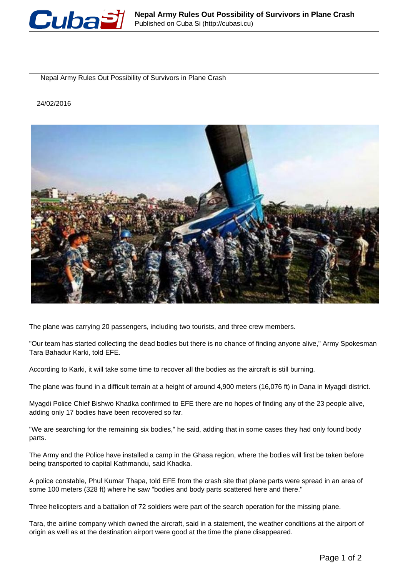

Nepal Army Rules Out Possibility of Survivors in Plane Crash

24/02/2016



The plane was carrying 20 passengers, including two tourists, and three crew members.

"Our team has started collecting the dead bodies but there is no chance of finding anyone alive," Army Spokesman Tara Bahadur Karki, told EFE.

According to Karki, it will take some time to recover all the bodies as the aircraft is still burning.

The plane was found in a difficult terrain at a height of around 4,900 meters (16,076 ft) in Dana in Myagdi district.

Myagdi Police Chief Bishwo Khadka confirmed to EFE there are no hopes of finding any of the 23 people alive, adding only 17 bodies have been recovered so far.

"We are searching for the remaining six bodies," he said, adding that in some cases they had only found body parts.

The Army and the Police have installed a camp in the Ghasa region, where the bodies will first be taken before being transported to capital Kathmandu, said Khadka.

A police constable, Phul Kumar Thapa, told EFE from the crash site that plane parts were spread in an area of some 100 meters (328 ft) where he saw "bodies and body parts scattered here and there."

Three helicopters and a battalion of 72 soldiers were part of the search operation for the missing plane.

Tara, the airline company which owned the aircraft, said in a statement, the weather conditions at the airport of origin as well as at the destination airport were good at the time the plane disappeared.